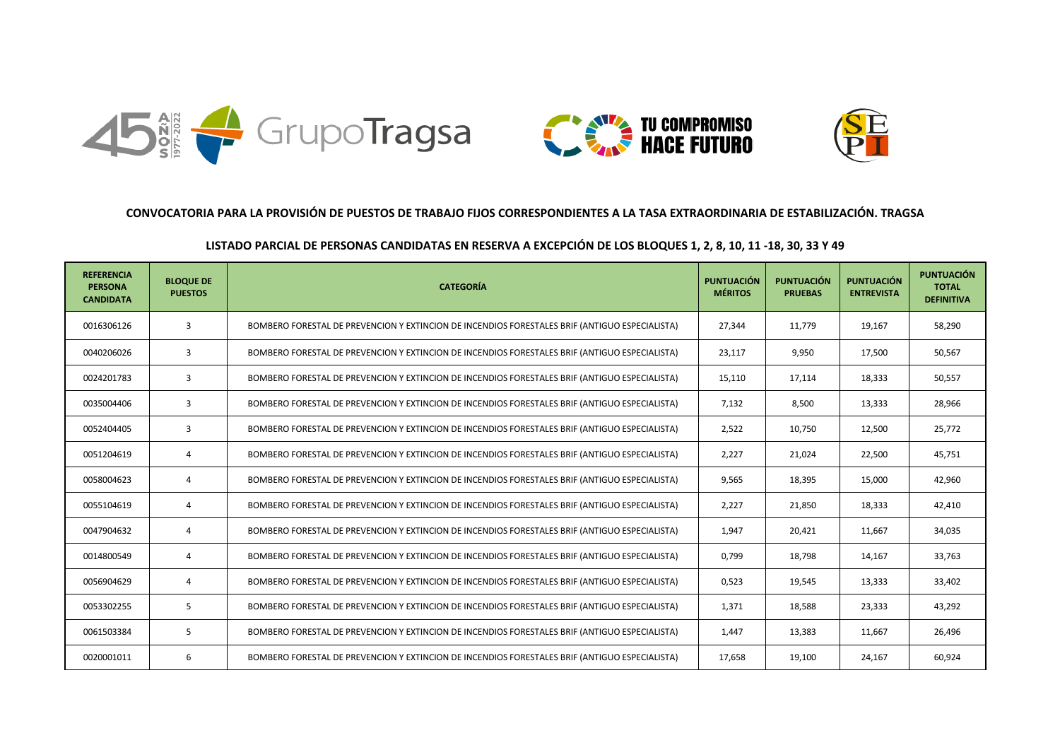





## **CONVOCATORIA PARA LA PROVISIÓN DE PUESTOS DE TRABAJO FIJOS CORRESPONDIENTES A LA TASA EXTRAORDINARIA DE ESTABILIZACIÓN. TRAGSA**

## **LISTADO PARCIAL DE PERSONAS CANDIDATAS EN RESERVA A EXCEPCIÓN DE LOS BLOQUES 1, 2, 8, 10, 11 -18, 30, 33 Y 49**

| <b>REFERENCIA</b><br><b>PERSONA</b><br><b>CANDIDATA</b> | <b>BLOQUE DE</b><br><b>PUESTOS</b> | <b>CATEGORÍA</b>                                                                               | <b>PUNTUACIÓN</b><br><b>MÉRITOS</b> | <b>PUNTUACIÓN</b><br><b>PRUEBAS</b> | <b>PUNTUACIÓN</b><br><b>ENTREVISTA</b> | <b>PUNTUACIÓN</b><br><b>TOTAL</b><br><b>DEFINITIVA</b> |
|---------------------------------------------------------|------------------------------------|------------------------------------------------------------------------------------------------|-------------------------------------|-------------------------------------|----------------------------------------|--------------------------------------------------------|
| 0016306126                                              | 3                                  | BOMBERO FORESTAL DE PREVENCION Y EXTINCION DE INCENDIOS FORESTALES BRIF (ANTIGUO ESPECIALISTA) | 27,344                              | 11,779                              | 19,167                                 | 58,290                                                 |
| 0040206026                                              | 3                                  | BOMBERO FORESTAL DE PREVENCION Y EXTINCION DE INCENDIOS FORESTALES BRIF (ANTIGUO ESPECIALISTA) | 23,117                              | 9,950                               | 17,500                                 | 50,567                                                 |
| 0024201783                                              | 3                                  | BOMBERO FORESTAL DE PREVENCION Y EXTINCION DE INCENDIOS FORESTALES BRIF (ANTIGUO ESPECIALISTA) | 15,110                              | 17,114                              | 18,333                                 | 50,557                                                 |
| 0035004406                                              | 3                                  | BOMBERO FORESTAL DE PREVENCION Y EXTINCION DE INCENDIOS FORESTALES BRIF (ANTIGUO ESPECIALISTA) | 7,132                               | 8,500                               | 13,333                                 | 28,966                                                 |
| 0052404405                                              | 3                                  | BOMBERO FORESTAL DE PREVENCION Y EXTINCION DE INCENDIOS FORESTALES BRIF (ANTIGUO ESPECIALISTA) | 2,522                               | 10,750                              | 12,500                                 | 25,772                                                 |
| 0051204619                                              | 4                                  | BOMBERO FORESTAL DE PREVENCION Y EXTINCION DE INCENDIOS FORESTALES BRIF (ANTIGUO ESPECIALISTA) | 2,227                               | 21,024                              | 22,500                                 | 45,751                                                 |
| 0058004623                                              | 4                                  | BOMBERO FORESTAL DE PREVENCION Y EXTINCION DE INCENDIOS FORESTALES BRIF (ANTIGUO ESPECIALISTA) | 9.565                               | 18.395                              | 15,000                                 | 42,960                                                 |
| 0055104619                                              | 4                                  | BOMBERO FORESTAL DE PREVENCION Y EXTINCION DE INCENDIOS FORESTALES BRIF (ANTIGUO ESPECIALISTA) | 2,227                               | 21,850                              | 18,333                                 | 42,410                                                 |
| 0047904632                                              | 4                                  | BOMBERO FORESTAL DE PREVENCION Y EXTINCION DE INCENDIOS FORESTALES BRIF (ANTIGUO ESPECIALISTA) | 1.947                               | 20,421                              | 11,667                                 | 34,035                                                 |
| 0014800549                                              | 4                                  | BOMBERO FORESTAL DE PREVENCION Y EXTINCION DE INCENDIOS FORESTALES BRIF (ANTIGUO ESPECIALISTA) | 0,799                               | 18,798                              | 14,167                                 | 33,763                                                 |
| 0056904629                                              | 4                                  | BOMBERO FORESTAL DE PREVENCION Y EXTINCION DE INCENDIOS FORESTALES BRIF (ANTIGUO ESPECIALISTA) | 0,523                               | 19,545                              | 13,333                                 | 33,402                                                 |
| 0053302255                                              | 5                                  | BOMBERO FORESTAL DE PREVENCION Y EXTINCION DE INCENDIOS FORESTALES BRIF (ANTIGUO ESPECIALISTA) | 1,371                               | 18,588                              | 23,333                                 | 43,292                                                 |
| 0061503384                                              | 5                                  | BOMBERO FORESTAL DE PREVENCION Y EXTINCION DE INCENDIOS FORESTALES BRIF (ANTIGUO ESPECIALISTA) | 1.447                               | 13,383                              | 11,667                                 | 26,496                                                 |
| 0020001011                                              | 6                                  | BOMBERO FORESTAL DE PREVENCION Y EXTINCION DE INCENDIOS FORESTALES BRIF (ANTIGUO ESPECIALISTA) | 17.658                              | 19,100                              | 24,167                                 | 60,924                                                 |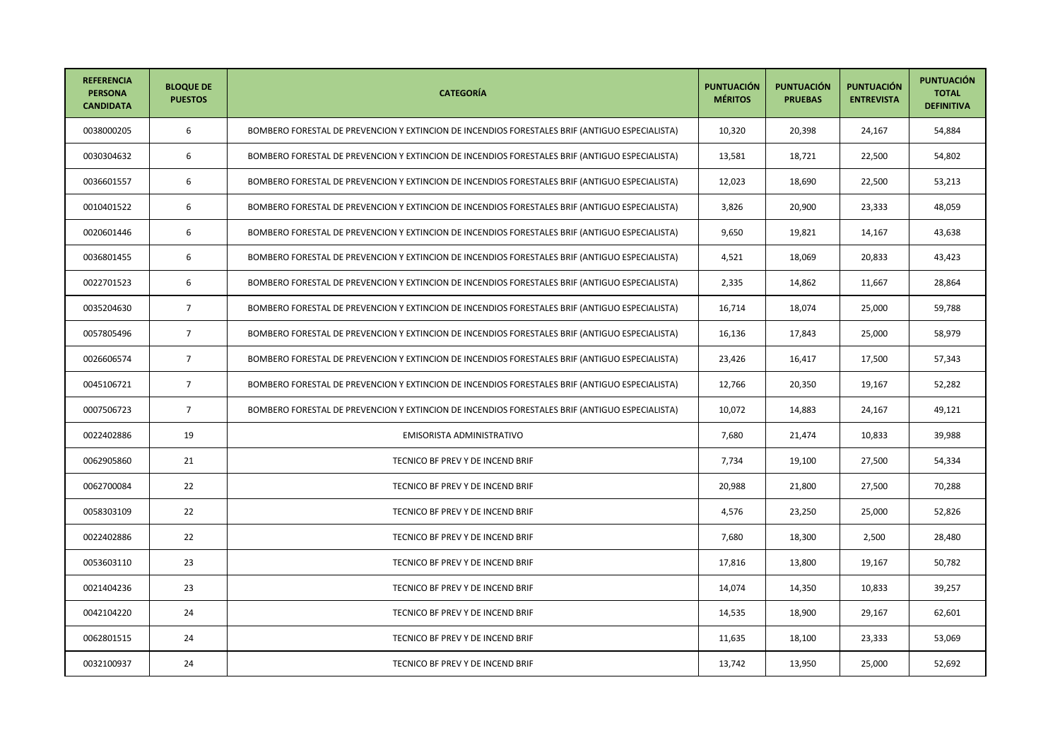| <b>REFERENCIA</b><br><b>PERSONA</b><br><b>CANDIDATA</b> | <b>BLOQUE DE</b><br><b>PUESTOS</b> | <b>CATEGORÍA</b>                                                                               | <b>PUNTUACIÓN</b><br><b>MÉRITOS</b> | <b>PUNTUACIÓN</b><br><b>PRUEBAS</b> | <b>PUNTUACIÓN</b><br><b>ENTREVISTA</b> | <b>PUNTUACIÓN</b><br><b>TOTAL</b><br><b>DEFINITIVA</b> |
|---------------------------------------------------------|------------------------------------|------------------------------------------------------------------------------------------------|-------------------------------------|-------------------------------------|----------------------------------------|--------------------------------------------------------|
| 0038000205                                              | 6                                  | BOMBERO FORESTAL DE PREVENCION Y EXTINCION DE INCENDIOS FORESTALES BRIF (ANTIGUO ESPECIALISTA) | 10,320                              | 20,398                              | 24,167                                 | 54,884                                                 |
| 0030304632                                              | 6                                  | BOMBERO FORESTAL DE PREVENCION Y EXTINCION DE INCENDIOS FORESTALES BRIF (ANTIGUO ESPECIALISTA) | 13,581                              | 18,721                              | 22,500                                 | 54,802                                                 |
| 0036601557                                              | 6                                  | BOMBERO FORESTAL DE PREVENCION Y EXTINCION DE INCENDIOS FORESTALES BRIF (ANTIGUO ESPECIALISTA) | 12,023                              | 18,690                              | 22,500                                 | 53,213                                                 |
| 0010401522                                              | 6                                  | BOMBERO FORESTAL DE PREVENCION Y EXTINCION DE INCENDIOS FORESTALES BRIF (ANTIGUO ESPECIALISTA) | 3,826                               | 20,900                              | 23,333                                 | 48,059                                                 |
| 0020601446                                              | 6                                  | BOMBERO FORESTAL DE PREVENCION Y EXTINCION DE INCENDIOS FORESTALES BRIF (ANTIGUO ESPECIALISTA) | 9,650                               | 19,821                              | 14,167                                 | 43,638                                                 |
| 0036801455                                              | 6                                  | BOMBERO FORESTAL DE PREVENCION Y EXTINCION DE INCENDIOS FORESTALES BRIF (ANTIGUO ESPECIALISTA) | 4,521                               | 18,069                              | 20,833                                 | 43,423                                                 |
| 0022701523                                              | 6                                  | BOMBERO FORESTAL DE PREVENCION Y EXTINCION DE INCENDIOS FORESTALES BRIF (ANTIGUO ESPECIALISTA) | 2,335                               | 14,862                              | 11,667                                 | 28,864                                                 |
| 0035204630                                              | $\overline{7}$                     | BOMBERO FORESTAL DE PREVENCION Y EXTINCION DE INCENDIOS FORESTALES BRIF (ANTIGUO ESPECIALISTA) | 16,714                              | 18,074                              | 25,000                                 | 59,788                                                 |
| 0057805496                                              | $\overline{7}$                     | BOMBERO FORESTAL DE PREVENCION Y EXTINCION DE INCENDIOS FORESTALES BRIF (ANTIGUO ESPECIALISTA) | 16,136                              | 17,843                              | 25,000                                 | 58,979                                                 |
| 0026606574                                              | $\overline{7}$                     | BOMBERO FORESTAL DE PREVENCION Y EXTINCION DE INCENDIOS FORESTALES BRIF (ANTIGUO ESPECIALISTA) | 23,426                              | 16,417                              | 17,500                                 | 57,343                                                 |
| 0045106721                                              | $\overline{7}$                     | BOMBERO FORESTAL DE PREVENCION Y EXTINCION DE INCENDIOS FORESTALES BRIF (ANTIGUO ESPECIALISTA) | 12,766                              | 20,350                              | 19,167                                 | 52,282                                                 |
| 0007506723                                              | $\overline{7}$                     | BOMBERO FORESTAL DE PREVENCION Y EXTINCION DE INCENDIOS FORESTALES BRIF (ANTIGUO ESPECIALISTA) | 10,072                              | 14,883                              | 24,167                                 | 49,121                                                 |
| 0022402886                                              | 19                                 | EMISORISTA ADMINISTRATIVO                                                                      | 7,680                               | 21,474                              | 10,833                                 | 39,988                                                 |
| 0062905860                                              | 21                                 | TECNICO BF PREV Y DE INCEND BRIF                                                               | 7,734                               | 19,100                              | 27,500                                 | 54,334                                                 |
| 0062700084                                              | 22                                 | TECNICO BF PREV Y DE INCEND BRIF                                                               | 20,988                              | 21,800                              | 27,500                                 | 70,288                                                 |
| 0058303109                                              | 22                                 | TECNICO BF PREV Y DE INCEND BRIF                                                               | 4,576                               | 23,250                              | 25,000                                 | 52,826                                                 |
| 0022402886                                              | 22                                 | TECNICO BF PREV Y DE INCEND BRIF                                                               | 7,680                               | 18,300                              | 2,500                                  | 28,480                                                 |
| 0053603110                                              | 23                                 | TECNICO BF PREV Y DE INCEND BRIF                                                               | 17,816                              | 13,800                              | 19,167                                 | 50,782                                                 |
| 0021404236                                              | 23                                 | TECNICO BF PREV Y DE INCEND BRIF                                                               | 14,074                              | 14,350                              | 10,833                                 | 39,257                                                 |
| 0042104220                                              | 24                                 | TECNICO BF PREV Y DE INCEND BRIF                                                               | 14,535                              | 18,900                              | 29,167                                 | 62,601                                                 |
| 0062801515                                              | 24                                 | TECNICO BF PREV Y DE INCEND BRIF                                                               | 11,635                              | 18,100                              | 23,333                                 | 53,069                                                 |
| 0032100937                                              | 24                                 | TECNICO BF PREV Y DE INCEND BRIF                                                               | 13,742                              | 13,950                              | 25,000                                 | 52,692                                                 |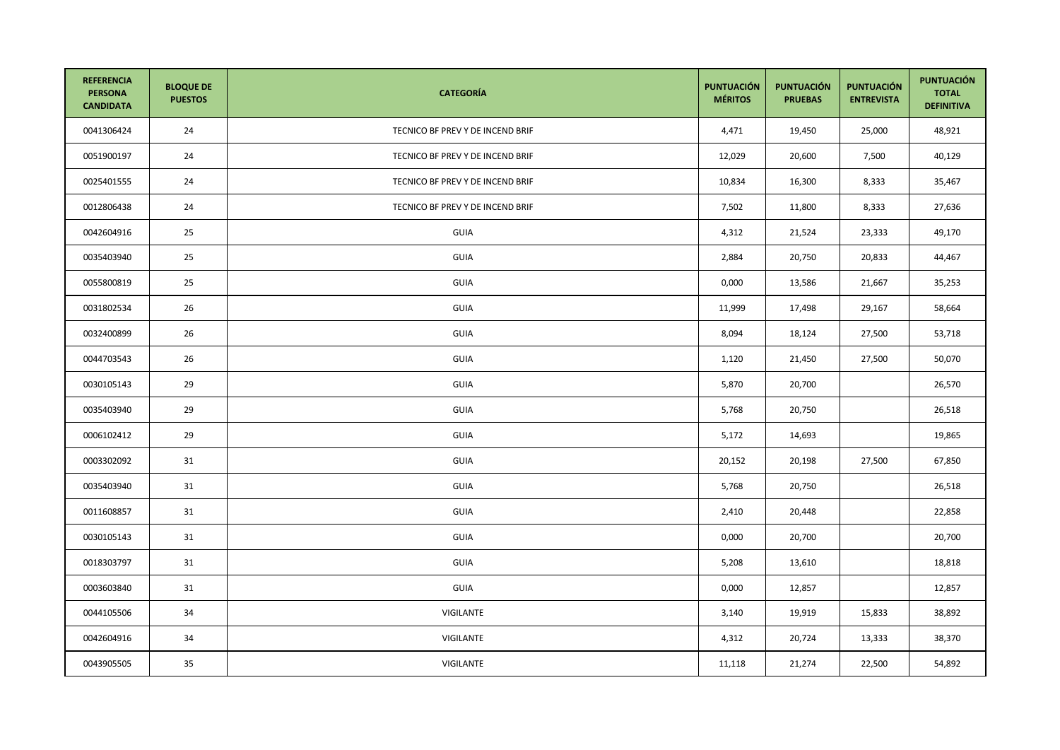| <b>REFERENCIA</b><br><b>PERSONA</b><br><b>CANDIDATA</b> | <b>BLOQUE DE</b><br><b>PUESTOS</b> | <b>CATEGORÍA</b>                 | <b>PUNTUACIÓN</b><br><b>MÉRITOS</b> | <b>PUNTUACIÓN</b><br><b>PRUEBAS</b> | <b>PUNTUACIÓN</b><br><b>ENTREVISTA</b> | <b>PUNTUACIÓN</b><br><b>TOTAL</b><br><b>DEFINITIVA</b> |
|---------------------------------------------------------|------------------------------------|----------------------------------|-------------------------------------|-------------------------------------|----------------------------------------|--------------------------------------------------------|
| 0041306424                                              | 24                                 | TECNICO BF PREV Y DE INCEND BRIF | 4,471                               | 19,450                              | 25,000                                 | 48,921                                                 |
| 0051900197                                              | 24                                 | TECNICO BF PREV Y DE INCEND BRIF | 12,029                              | 20,600                              | 7,500                                  | 40,129                                                 |
| 0025401555                                              | 24                                 | TECNICO BF PREV Y DE INCEND BRIF | 10,834                              | 16,300                              | 8,333                                  | 35,467                                                 |
| 0012806438                                              | 24                                 | TECNICO BF PREV Y DE INCEND BRIF | 7,502                               | 11,800                              | 8,333                                  | 27,636                                                 |
| 0042604916                                              | 25                                 | <b>GUIA</b>                      | 4,312                               | 21,524                              | 23,333                                 | 49,170                                                 |
| 0035403940                                              | 25                                 | GUIA                             | 2,884                               | 20,750                              | 20,833                                 | 44,467                                                 |
| 0055800819                                              | 25                                 | GUIA                             | 0,000                               | 13,586                              | 21,667                                 | 35,253                                                 |
| 0031802534                                              | 26                                 | GUIA                             | 11,999                              | 17,498                              | 29,167                                 | 58,664                                                 |
| 0032400899                                              | 26                                 | GUIA                             | 8,094                               | 18,124                              | 27,500                                 | 53,718                                                 |
| 0044703543                                              | 26                                 | <b>GUIA</b>                      | 1,120                               | 21,450                              | 27,500                                 | 50,070                                                 |
| 0030105143                                              | 29                                 | GUIA                             | 5,870                               | 20,700                              |                                        | 26,570                                                 |
| 0035403940                                              | 29                                 | <b>GUIA</b>                      | 5,768                               | 20,750                              |                                        | 26,518                                                 |
| 0006102412                                              | 29                                 | GUIA                             | 5,172                               | 14,693                              |                                        | 19,865                                                 |
| 0003302092                                              | 31                                 | <b>GUIA</b>                      | 20,152                              | 20,198                              | 27,500                                 | 67,850                                                 |
| 0035403940                                              | 31                                 | GUIA                             | 5,768                               | 20,750                              |                                        | 26,518                                                 |
| 0011608857                                              | 31                                 | GUIA                             | 2,410                               | 20,448                              |                                        | 22,858                                                 |
| 0030105143                                              | 31                                 | GUIA                             | 0,000                               | 20,700                              |                                        | 20,700                                                 |
| 0018303797                                              | 31                                 | GUIA                             | 5,208                               | 13,610                              |                                        | 18,818                                                 |
| 0003603840                                              | 31                                 | GUIA                             | 0,000                               | 12,857                              |                                        | 12,857                                                 |
| 0044105506                                              | 34                                 | VIGILANTE                        | 3,140                               | 19,919                              | 15,833                                 | 38,892                                                 |
| 0042604916                                              | 34                                 | VIGILANTE                        | 4,312                               | 20,724                              | 13,333                                 | 38,370                                                 |
| 0043905505                                              | 35                                 | VIGILANTE                        | 11,118                              | 21,274                              | 22,500                                 | 54,892                                                 |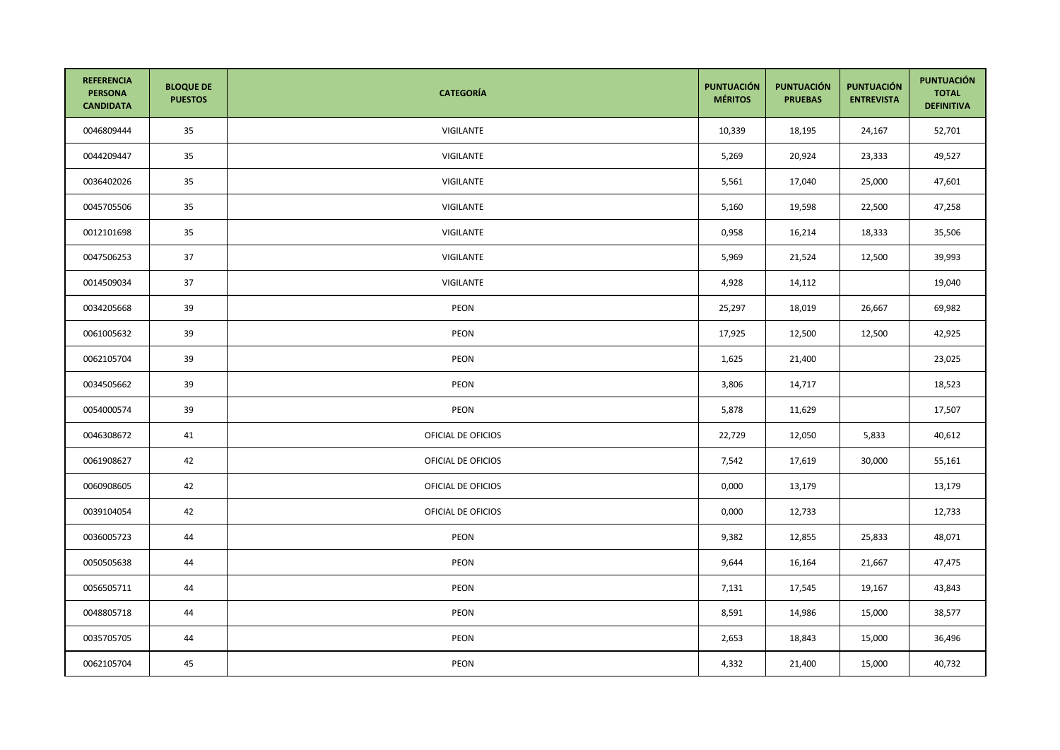| <b>REFERENCIA</b><br><b>PERSONA</b><br><b>CANDIDATA</b> | <b>BLOQUE DE</b><br><b>PUESTOS</b> | <b>CATEGORÍA</b>   | <b>PUNTUACIÓN</b><br><b>MÉRITOS</b> | <b>PUNTUACIÓN</b><br><b>PRUEBAS</b> | <b>PUNTUACIÓN</b><br><b>ENTREVISTA</b> | <b>PUNTUACIÓN</b><br><b>TOTAL</b><br><b>DEFINITIVA</b> |
|---------------------------------------------------------|------------------------------------|--------------------|-------------------------------------|-------------------------------------|----------------------------------------|--------------------------------------------------------|
| 0046809444                                              | 35                                 | VIGILANTE          | 10,339                              | 18,195                              | 24,167                                 | 52,701                                                 |
| 0044209447                                              | 35                                 | VIGILANTE          | 5,269                               | 20,924                              | 23,333                                 | 49,527                                                 |
| 0036402026                                              | 35                                 | VIGILANTE          | 5,561                               | 17,040                              | 25,000                                 | 47,601                                                 |
| 0045705506                                              | 35                                 | VIGILANTE          | 5,160                               | 19,598                              | 22,500                                 | 47,258                                                 |
| 0012101698                                              | 35                                 | VIGILANTE          | 0,958                               | 16,214                              | 18,333                                 | 35,506                                                 |
| 0047506253                                              | 37                                 | VIGILANTE          | 5,969                               | 21,524                              | 12,500                                 | 39,993                                                 |
| 0014509034                                              | 37                                 | VIGILANTE          | 4,928                               | 14,112                              |                                        | 19,040                                                 |
| 0034205668                                              | 39                                 | PEON               | 25,297                              | 18,019                              | 26,667                                 | 69,982                                                 |
| 0061005632                                              | 39                                 | <b>PEON</b>        | 17,925                              | 12,500                              | 12,500                                 | 42,925                                                 |
| 0062105704                                              | 39                                 | PEON               | 1,625                               | 21,400                              |                                        | 23,025                                                 |
| 0034505662                                              | 39                                 | PEON               | 3,806                               | 14,717                              |                                        | 18,523                                                 |
| 0054000574                                              | 39                                 | PEON               | 5,878                               | 11,629                              |                                        | 17,507                                                 |
| 0046308672                                              | 41                                 | OFICIAL DE OFICIOS | 22,729                              | 12,050                              | 5,833                                  | 40,612                                                 |
| 0061908627                                              | 42                                 | OFICIAL DE OFICIOS | 7,542                               | 17,619                              | 30,000                                 | 55,161                                                 |
| 0060908605                                              | 42                                 | OFICIAL DE OFICIOS | 0,000                               | 13,179                              |                                        | 13,179                                                 |
| 0039104054                                              | 42                                 | OFICIAL DE OFICIOS | 0,000                               | 12,733                              |                                        | 12,733                                                 |
| 0036005723                                              | 44                                 | PEON               | 9,382                               | 12,855                              | 25,833                                 | 48,071                                                 |
| 0050505638                                              | 44                                 | PEON               | 9,644                               | 16,164                              | 21,667                                 | 47,475                                                 |
| 0056505711                                              | 44                                 | <b>PEON</b>        | 7,131                               | 17,545                              | 19,167                                 | 43,843                                                 |
| 0048805718                                              | 44                                 | PEON               | 8,591                               | 14,986                              | 15,000                                 | 38,577                                                 |
| 0035705705                                              | 44                                 | PEON               | 2,653                               | 18,843                              | 15,000                                 | 36,496                                                 |
| 0062105704                                              | 45                                 | PEON               | 4,332                               | 21,400                              | 15,000                                 | 40,732                                                 |